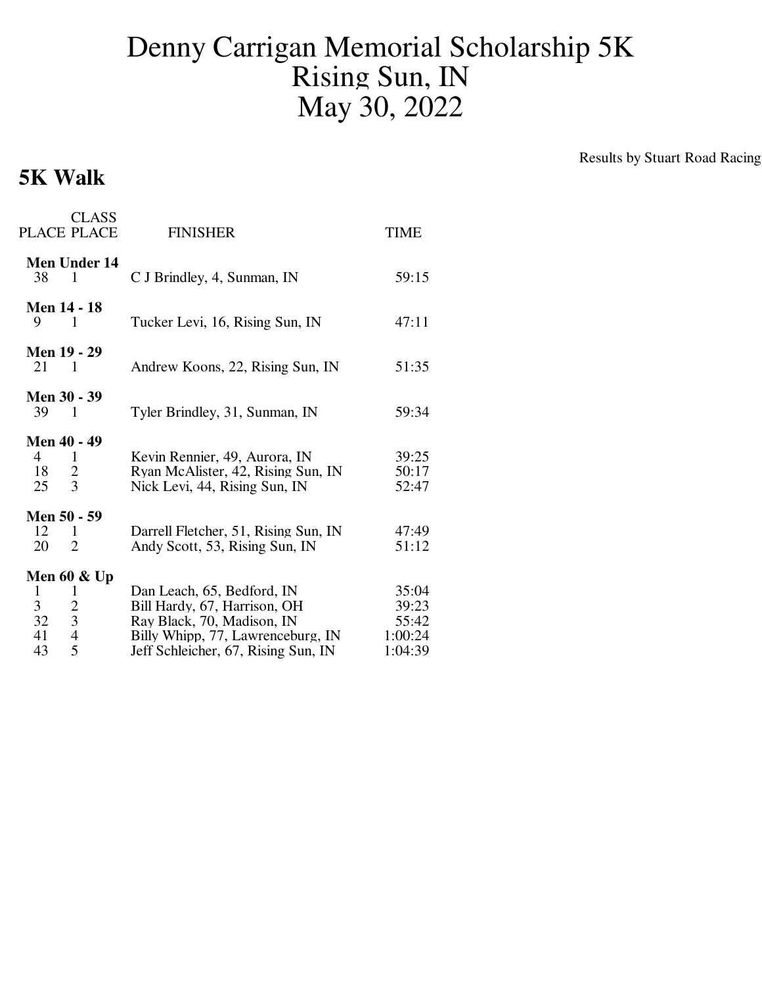## Denny Carrigan Memorial Scholarship 5K Rising Sun, IN May 30, 2022

## **5K Walk**

Results by Stuart Road Racing

| <b>CLASS</b><br><b>PLACE PLACE</b>                                                                         | <b>FINISHER</b>                                                                                                                                                      | <b>TIME</b>                                   |
|------------------------------------------------------------------------------------------------------------|----------------------------------------------------------------------------------------------------------------------------------------------------------------------|-----------------------------------------------|
| <b>Men Under 14</b><br>1<br>38                                                                             | C J Brindley, 4, Sunman, IN                                                                                                                                          | 59:15                                         |
| <b>Men 14 - 18</b><br>9<br>$\overline{1}$                                                                  | Tucker Levi, 16, Rising Sun, IN                                                                                                                                      | 47:11                                         |
| Men 19 - 29<br>21<br>$\sim$ 1                                                                              | Andrew Koons, 22, Rising Sun, IN                                                                                                                                     | 51:35                                         |
| <b>Men 30 - 39</b><br>39<br>$\overline{1}$                                                                 | Tyler Brindley, 31, Sunman, IN                                                                                                                                       | 59:34                                         |
| Men 40 - 49<br>$\overline{4}$<br>1<br>18<br>$\overline{2}$<br>3<br>25                                      | Kevin Rennier, 49, Aurora, IN<br>Ryan McAlister, 42, Rising Sun, IN<br>Nick Levi, 44, Rising Sun, IN                                                                 | 39:25<br>50:17<br>52:47                       |
| Men 50 - 59<br>12<br>$\mathbf{1}$<br>$\overline{2}$<br>20                                                  | Darrell Fletcher, 51, Rising Sun, IN<br>Andy Scott, 53, Rising Sun, IN                                                                                               | 47:49<br>51:12                                |
| Men 60 $\&$ Up<br>1<br>1<br>3<br>$\overline{c}$<br>3 <sup>1</sup><br>32<br>$\overline{4}$<br>41<br>5<br>43 | Dan Leach, 65, Bedford, IN<br>Bill Hardy, 67, Harrison, OH<br>Ray Black, 70, Madison, IN<br>Billy Whipp, 77, Lawrenceburg, IN<br>Jeff Schleicher, 67, Rising Sun, IN | 35:04<br>39:23<br>55:42<br>1:00:24<br>1:04:39 |